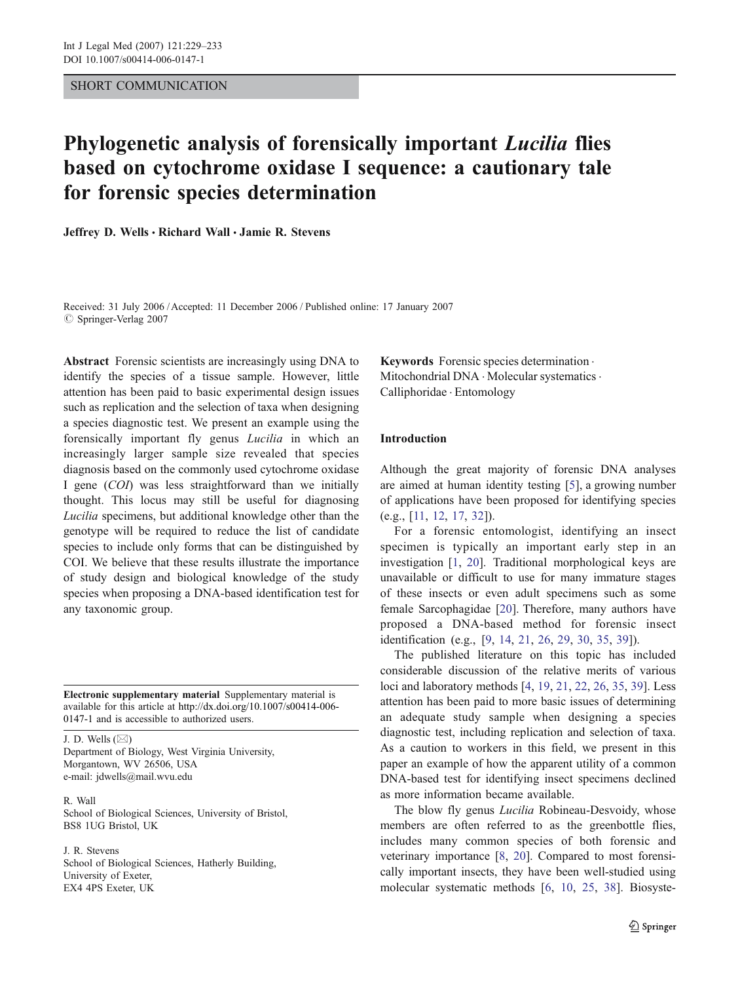# SHORT COMMUNICATION

# Phylogenetic analysis of forensically important Lucilia flies based on cytochrome oxidase I sequence: a cautionary tale for forensic species determination

Jeffrey D. Wells · Richard Wall · Jamie R. Stevens

Received: 31 July 2006 /Accepted: 11 December 2006 / Published online: 17 January 2007  $©$  Springer-Verlag 2007

Abstract Forensic scientists are increasingly using DNA to identify the species of a tissue sample. However, little attention has been paid to basic experimental design issues such as replication and the selection of taxa when designing a species diagnostic test. We present an example using the forensically important fly genus *Lucilia* in which an increasingly larger sample size revealed that species diagnosis based on the commonly used cytochrome oxidase I gene (COI) was less straightforward than we initially thought. This locus may still be useful for diagnosing Lucilia specimens, but additional knowledge other than the genotype will be required to reduce the list of candidate species to include only forms that can be distinguished by COI. We believe that these results illustrate the importance of study design and biological knowledge of the study species when proposing a DNA-based identification test for any taxonomic group.

Electronic supplementary material Supplementary material is available for this article at [http://dx.doi.org/10.1007/s00414-006-](http://dx.doi.org/10.1007/s00414-006-0147-1) [0147-1](http://dx.doi.org/10.1007/s00414-006-0147-1) and is accessible to authorized users.

J. D. Wells  $(\boxtimes)$ Department of Biology, West Virginia University, Morgantown, WV 26506, USA e-mail: jdwells@mail.wvu.edu

R. Wall School of Biological Sciences, University of Bristol, BS8 1UG Bristol, UK

J. R. Stevens School of Biological Sciences, Hatherly Building, University of Exeter, EX4 4PS Exeter, UK

Keywords Forensic species determination . Mitochondrial DNA · Molecular systematics · Calliphoridae . Entomology

## Introduction

Although the great majority of forensic DNA analyses are aimed at human identity testing [\[5](#page-3-0)], a growing number of applications have been proposed for identifying species (e.g., [[11](#page-3-0), [12](#page-3-0), [17,](#page-3-0) [32\]](#page-4-0)).

For a forensic entomologist, identifying an insect specimen is typically an important early step in an investigation [\[1](#page-3-0), [20\]](#page-3-0). Traditional morphological keys are unavailable or difficult to use for many immature stages of these insects or even adult specimens such as some female Sarcophagidae [\[20](#page-3-0)]. Therefore, many authors have proposed a DNA-based method for forensic insect identification (e.g., [[9,](#page-3-0) [14,](#page-3-0) [21](#page-3-0), [26](#page-4-0), [29,](#page-4-0) [30,](#page-4-0) [35,](#page-4-0) [39](#page-4-0)]).

The published literature on this topic has included considerable discussion of the relative merits of various loci and laboratory methods [[4,](#page-3-0) [19,](#page-3-0) [21,](#page-3-0) [22,](#page-4-0) [26,](#page-4-0) [35,](#page-4-0) [39\]](#page-4-0). Less attention has been paid to more basic issues of determining an adequate study sample when designing a species diagnostic test, including replication and selection of taxa. As a caution to workers in this field, we present in this paper an example of how the apparent utility of a common DNA-based test for identifying insect specimens declined as more information became available.

The blow fly genus *Lucilia* Robineau-Desvoidy, whose members are often referred to as the greenbottle flies, includes many common species of both forensic and veterinary importance [[8,](#page-3-0) [20](#page-3-0)]. Compared to most forensically important insects, they have been well-studied using molecular systematic methods [[6,](#page-3-0) [10](#page-3-0), [25,](#page-4-0) [38](#page-4-0)]. Biosyste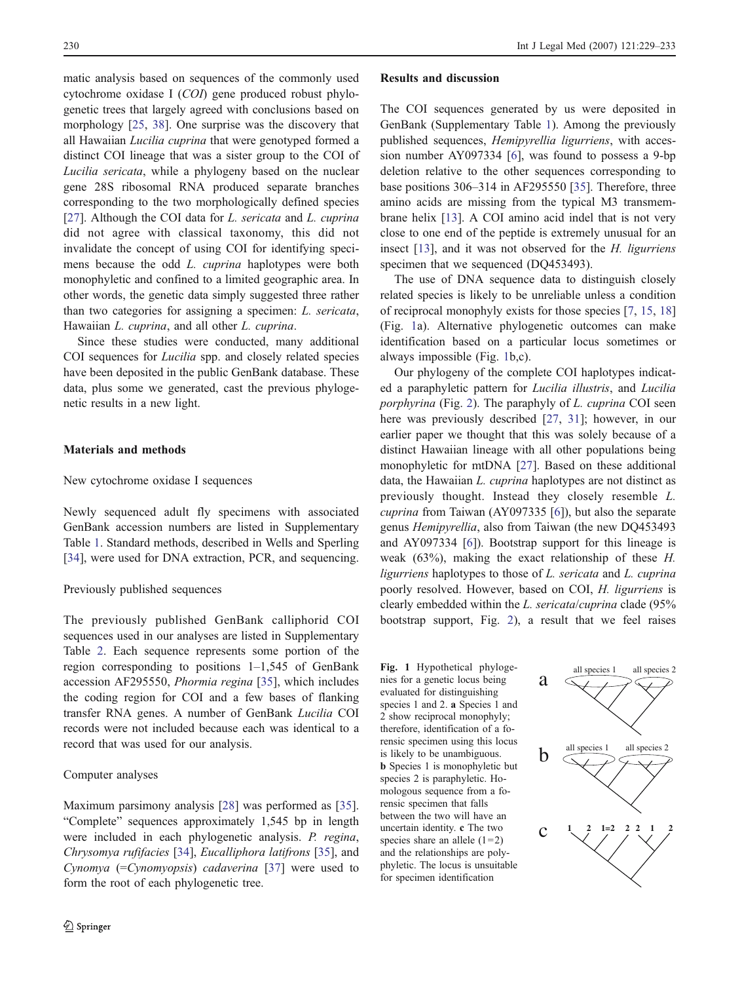matic analysis based on sequences of the commonly used cytochrome oxidase I (COI) gene produced robust phylogenetic trees that largely agreed with conclusions based on morphology [[25,](#page-4-0) [38\]](#page-4-0). One surprise was the discovery that all Hawaiian Lucilia cuprina that were genotyped formed a distinct COI lineage that was a sister group to the COI of Lucilia sericata, while a phylogeny based on the nuclear gene 28S ribosomal RNA produced separate branches corresponding to the two morphologically defined species [\[27](#page-4-0)]. Although the COI data for *L. sericata* and *L. cuprina* did not agree with classical taxonomy, this did not invalidate the concept of using COI for identifying specimens because the odd L. cuprina haplotypes were both monophyletic and confined to a limited geographic area. In other words, the genetic data simply suggested three rather than two categories for assigning a specimen: L. sericata, Hawaiian L. cuprina, and all other L. cuprina.

Since these studies were conducted, many additional COI sequences for Lucilia spp. and closely related species have been deposited in the public GenBank database. These data, plus some we generated, cast the previous phylogenetic results in a new light.

# Materials and methods

#### New cytochrome oxidase I sequences

Newly sequenced adult fly specimens with associated GenBank accession numbers are listed in Supplementary Table 1. Standard methods, described in Wells and Sperling [\[34](#page-4-0)], were used for DNA extraction, PCR, and sequencing.

## Previously published sequences

The previously published GenBank calliphorid COI sequences used in our analyses are listed in Supplementary Table 2. Each sequence represents some portion of the region corresponding to positions 1–1,545 of GenBank accession AF295550, Phormia regina [[35\]](#page-4-0), which includes the coding region for COI and a few bases of flanking transfer RNA genes. A number of GenBank Lucilia COI records were not included because each was identical to a record that was used for our analysis.

## Computer analyses

Maximum parsimony analysis [\[28](#page-4-0)] was performed as [\[35](#page-4-0)]. "Complete" sequences approximately 1,545 bp in length were included in each phylogenetic analysis. P. regina, Chrysomya rufifacies [[34\]](#page-4-0), Eucalliphora latifrons [\[35](#page-4-0)], and Cynomya (=Cynomyopsis) cadaverina [\[37](#page-4-0)] were used to form the root of each phylogenetic tree.

#### Results and discussion

The COI sequences generated by us were deposited in GenBank (Supplementary Table 1). Among the previously published sequences, Hemipyrellia ligurriens, with accession number AY097334 [\[6](#page-3-0)], was found to possess a 9-bp deletion relative to the other sequences corresponding to base positions 306–314 in AF295550 [[35\]](#page-4-0). Therefore, three amino acids are missing from the typical M3 transmembrane helix [\[13](#page-3-0)]. A COI amino acid indel that is not very close to one end of the peptide is extremely unusual for an insect [\[13](#page-3-0)], and it was not observed for the *H. ligurriens* specimen that we sequenced (DQ453493).

The use of DNA sequence data to distinguish closely related species is likely to be unreliable unless a condition of reciprocal monophyly exists for those species [\[7](#page-3-0), [15,](#page-3-0) [18](#page-3-0)] (Fig. 1a). Alternative phylogenetic outcomes can make identification based on a particular locus sometimes or always impossible (Fig. 1b,c).

Our phylogeny of the complete COI haplotypes indicated a paraphyletic pattern for Lucilia illustris, and Lucilia porphyrina (Fig. [2\)](#page-2-0). The paraphyly of L. cuprina COI seen here was previously described [[27,](#page-4-0) [31](#page-4-0)]; however, in our earlier paper we thought that this was solely because of a distinct Hawaiian lineage with all other populations being monophyletic for mtDNA [[27\]](#page-4-0). Based on these additional data, the Hawaiian L. cuprina haplotypes are not distinct as previously thought. Instead they closely resemble L. cuprina from Taiwan (AY097335 [\[6](#page-3-0)]), but also the separate genus Hemipyrellia, also from Taiwan (the new DQ453493 and AY097334 [[6\]](#page-3-0)). Bootstrap support for this lineage is weak  $(63%)$ , making the exact relationship of these H. ligurriens haplotypes to those of L. sericata and L. cuprina poorly resolved. However, based on COI, H. ligurriens is clearly embedded within the L. sericata/cuprina clade (95% bootstrap support, Fig. [2\)](#page-2-0), a result that we feel raises

Fig. 1 Hypothetical phylogenies for a genetic locus being evaluated for distinguishing species 1 and 2. a Species 1 and 2 show reciprocal monophyly; therefore, identification of a forensic specimen using this locus is likely to be unambiguous. b Species 1 is monophyletic but species 2 is paraphyletic. Homologous sequence from a forensic specimen that falls between the two will have an uncertain identity. c The two species share an allele  $(1=2)$ and the relationships are polyphyletic. The locus is unsuitable for specimen identification

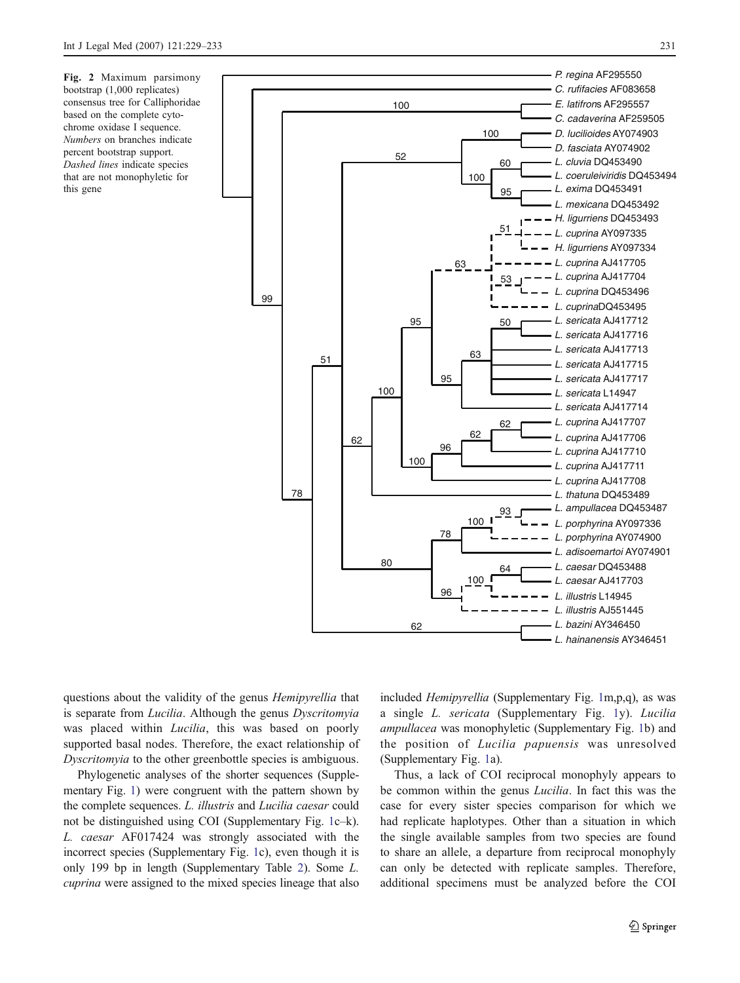<span id="page-2-0"></span>Fig. 2 Maximum parsimony bootstrap (1,000 replicates) consensus tree for Calliphoridae based on the complete cytochrome oxidase I sequence. Numbers on branches indicate percent bootstrap support. Dashed lines indicate species that are not monophyletic for this gene



questions about the validity of the genus Hemipyrellia that is separate from *Lucilia*. Although the genus *Dyscritomyia* was placed within *Lucilia*, this was based on poorly supported basal nodes. Therefore, the exact relationship of Dyscritomyia to the other greenbottle species is ambiguous.

Phylogenetic analyses of the shorter sequences (Supplementary Fig. 1) were congruent with the pattern shown by the complete sequences. L. illustris and Lucilia caesar could not be distinguished using COI (Supplementary Fig. 1c–k). L. caesar AF017424 was strongly associated with the incorrect species (Supplementary Fig. 1c), even though it is only 199 bp in length (Supplementary Table 2). Some L. cuprina were assigned to the mixed species lineage that also included Hemipyrellia (Supplementary Fig. 1m,p,q), as was a single L. sericata (Supplementary Fig. 1y). Lucilia ampullacea was monophyletic (Supplementary Fig. 1b) and the position of Lucilia papuensis was unresolved (Supplementary Fig. 1a).

Thus, a lack of COI reciprocal monophyly appears to be common within the genus Lucilia. In fact this was the case for every sister species comparison for which we had replicate haplotypes. Other than a situation in which the single available samples from two species are found to share an allele, a departure from reciprocal monophyly can only be detected with replicate samples. Therefore, additional specimens must be analyzed before the COI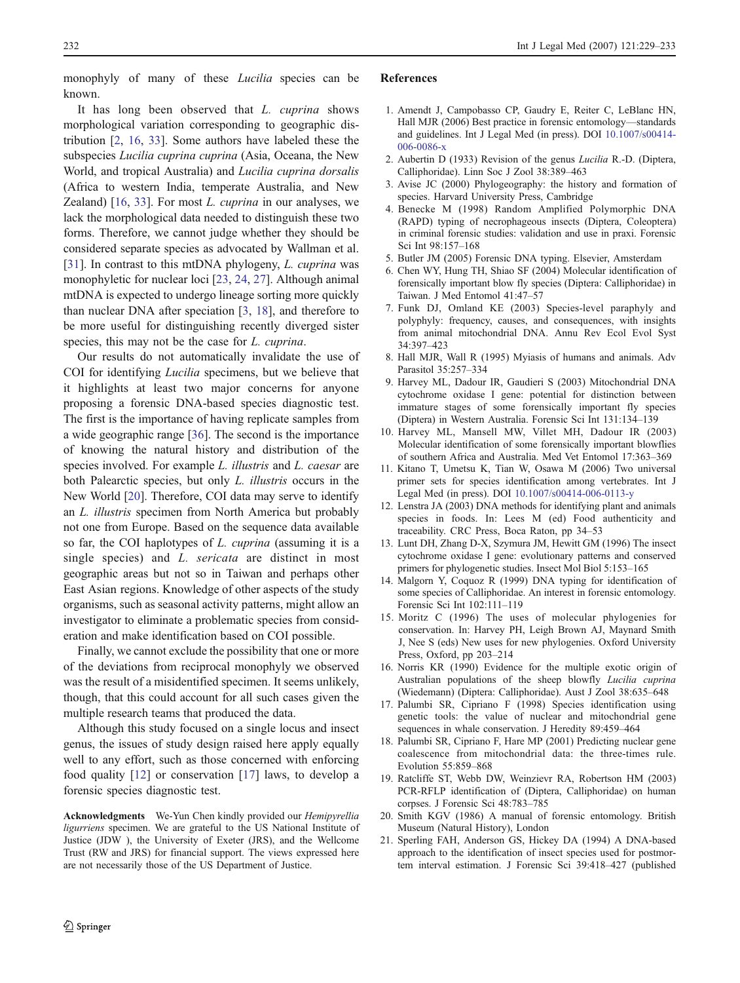<span id="page-3-0"></span>monophyly of many of these Lucilia species can be known.

It has long been observed that L. cuprina shows morphological variation corresponding to geographic distribution [2, 16, [33\]](#page-4-0). Some authors have labeled these the subspecies Lucilia cuprina cuprina (Asia, Oceana, the New World, and tropical Australia) and Lucilia cuprina dorsalis (Africa to western India, temperate Australia, and New Zealand)  $[16, 33]$  $[16, 33]$  $[16, 33]$ . For most *L. cuprina* in our analyses, we lack the morphological data needed to distinguish these two forms. Therefore, we cannot judge whether they should be considered separate species as advocated by Wallman et al. [\[31](#page-4-0)]. In contrast to this mtDNA phylogeny, *L. cuprina* was monophyletic for nuclear loci [\[23](#page-4-0), [24](#page-4-0), [27](#page-4-0)]. Although animal mtDNA is expected to undergo lineage sorting more quickly than nuclear DNA after speciation [3, 18], and therefore to be more useful for distinguishing recently diverged sister species, this may not be the case for L. cuprina.

Our results do not automatically invalidate the use of COI for identifying Lucilia specimens, but we believe that it highlights at least two major concerns for anyone proposing a forensic DNA-based species diagnostic test. The first is the importance of having replicate samples from a wide geographic range [\[36](#page-4-0)]. The second is the importance of knowing the natural history and distribution of the species involved. For example L. illustris and L. caesar are both Palearctic species, but only L. illustris occurs in the New World [20]. Therefore, COI data may serve to identify an L. illustris specimen from North America but probably not one from Europe. Based on the sequence data available so far, the COI haplotypes of *L. cuprina* (assuming it is a single species) and *L. sericata* are distinct in most geographic areas but not so in Taiwan and perhaps other East Asian regions. Knowledge of other aspects of the study organisms, such as seasonal activity patterns, might allow an investigator to eliminate a problematic species from consideration and make identification based on COI possible.

Finally, we cannot exclude the possibility that one or more of the deviations from reciprocal monophyly we observed was the result of a misidentified specimen. It seems unlikely, though, that this could account for all such cases given the multiple research teams that produced the data.

Although this study focused on a single locus and insect genus, the issues of study design raised here apply equally well to any effort, such as those concerned with enforcing food quality [12] or conservation [17] laws, to develop a forensic species diagnostic test.

Acknowledgments We-Yun Chen kindly provided our Hemipyrellia ligurriens specimen. We are grateful to the US National Institute of Justice (JDW ), the University of Exeter (JRS), and the Wellcome Trust (RW and JRS) for financial support. The views expressed here are not necessarily those of the US Department of Justice.

## References

- 1. Amendt J, Campobasso CP, Gaudry E, Reiter C, LeBlanc HN, Hall MJR (2006) Best practice in forensic entomology—standards and guidelines. Int J Legal Med (in press). DOI [10.1007/s00414-](http://dx.doi.org/10.1007/s00414-006-0086-x) [006-0086-x](http://dx.doi.org/10.1007/s00414-006-0086-x)
- 2. Aubertin D (1933) Revision of the genus Lucilia R.-D. (Diptera, Calliphoridae). Linn Soc J Zool 38:389–463
- 3. Avise JC (2000) Phylogeography: the history and formation of species. Harvard University Press, Cambridge
- 4. Benecke M (1998) Random Amplified Polymorphic DNA (RAPD) typing of necrophageous insects (Diptera, Coleoptera) in criminal forensic studies: validation and use in praxi. Forensic Sci Int 98:157–168
- 5. Butler JM (2005) Forensic DNA typing. Elsevier, Amsterdam
- 6. Chen WY, Hung TH, Shiao SF (2004) Molecular identification of forensically important blow fly species (Diptera: Calliphoridae) in Taiwan. J Med Entomol 41:47–57
- 7. Funk DJ, Omland KE (2003) Species-level paraphyly and polyphyly: frequency, causes, and consequences, with insights from animal mitochondrial DNA. Annu Rev Ecol Evol Syst 34:397–423
- 8. Hall MJR, Wall R (1995) Myiasis of humans and animals. Adv Parasitol 35:257–334
- 9. Harvey ML, Dadour IR, Gaudieri S (2003) Mitochondrial DNA cytochrome oxidase I gene: potential for distinction between immature stages of some forensically important fly species (Diptera) in Western Australia. Forensic Sci Int 131:134–139
- 10. Harvey ML, Mansell MW, Villet MH, Dadour IR (2003) Molecular identification of some forensically important blowflies of southern Africa and Australia. Med Vet Entomol 17:363–369
- 11. Kitano T, Umetsu K, Tian W, Osawa M (2006) Two universal primer sets for species identification among vertebrates. Int J Legal Med (in press). DOI [10.1007/s00414-006-0113-y](http://dx.doi.org/10.1007/s00414-006-0113-y)
- 12. Lenstra JA (2003) DNA methods for identifying plant and animals species in foods. In: Lees M (ed) Food authenticity and traceability. CRC Press, Boca Raton, pp 34–53
- 13. Lunt DH, Zhang D-X, Szymura JM, Hewitt GM (1996) The insect cytochrome oxidase I gene: evolutionary patterns and conserved primers for phylogenetic studies. Insect Mol Biol 5:153–165
- 14. Malgorn Y, Coquoz R (1999) DNA typing for identification of some species of Calliphoridae. An interest in forensic entomology. Forensic Sci Int 102:111–119
- 15. Moritz C (1996) The uses of molecular phylogenies for conservation. In: Harvey PH, Leigh Brown AJ, Maynard Smith J, Nee S (eds) New uses for new phylogenies. Oxford University Press, Oxford, pp 203–214
- 16. Norris KR (1990) Evidence for the multiple exotic origin of Australian populations of the sheep blowfly Lucilia cuprina (Wiedemann) (Diptera: Calliphoridae). Aust J Zool 38:635–648
- 17. Palumbi SR, Cipriano F (1998) Species identification using genetic tools: the value of nuclear and mitochondrial gene sequences in whale conservation. J Heredity 89:459–464
- 18. Palumbi SR, Cipriano F, Hare MP (2001) Predicting nuclear gene coalescence from mitochondrial data: the three-times rule. Evolution 55:859–868
- 19. Ratcliffe ST, Webb DW, Weinzievr RA, Robertson HM (2003) PCR-RFLP identification of (Diptera, Calliphoridae) on human corpses. J Forensic Sci 48:783–785
- 20. Smith KGV (1986) A manual of forensic entomology. British Museum (Natural History), London
- 21. Sperling FAH, Anderson GS, Hickey DA (1994) A DNA-based approach to the identification of insect species used for postmortem interval estimation. J Forensic Sci 39:418–427 (published